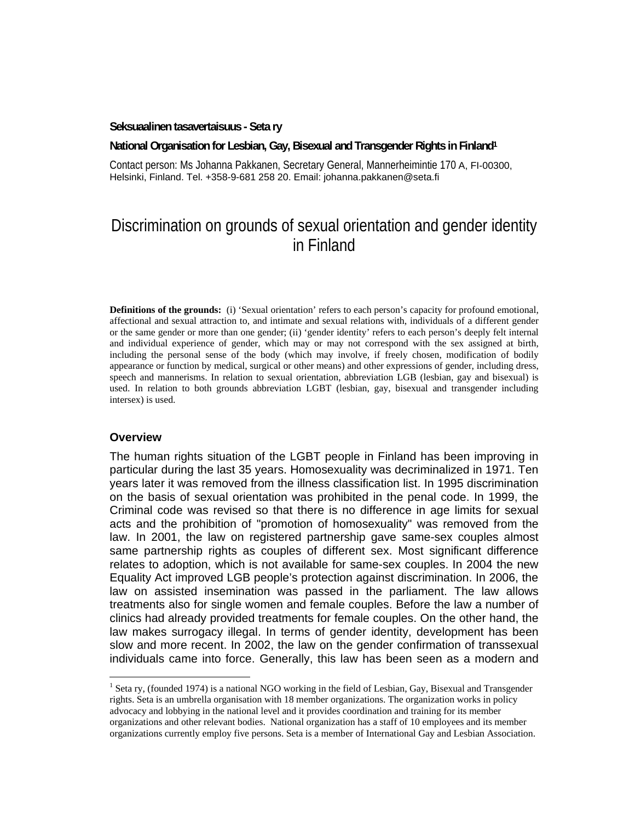#### **Seksuaalinen tasavertaisuus - Seta ry**

**National Organisation for Lesbian, Gay, Bisexual and Transgender Rights in Finland1**

Contact person: Ms Johanna Pakkanen, Secretary General, Mannerheimintie 170 A, FI-00300, Helsinki, Finland. Tel. +358-9-681 258 20. Email: johanna.pakkanen@seta.fi

# Discrimination on grounds of sexual orientation and gender identity in Finland

**Definitions of the grounds:** (i) 'Sexual orientation' refers to each person's capacity for profound emotional, affectional and sexual attraction to, and intimate and sexual relations with, individuals of a different gender or the same gender or more than one gender; (ii) 'gender identity' refers to each person's deeply felt internal and individual experience of gender, which may or may not correspond with the sex assigned at birth, including the personal sense of the body (which may involve, if freely chosen, modification of bodily appearance or function by medical, surgical or other means) and other expressions of gender, including dress, speech and mannerisms. In relation to sexual orientation, abbreviation LGB (lesbian, gay and bisexual) is used. In relation to both grounds abbreviation LGBT (lesbian, gay, bisexual and transgender including intersex) is used.

#### **Overview**

The human rights situation of the LGBT people in Finland has been improving in particular during the last 35 years. Homosexuality was decriminalized in 1971. Ten years later it was removed from the illness classification list. In 1995 discrimination on the basis of sexual orientation was prohibited in the penal code. In 1999, the Criminal code was revised so that there is no difference in age limits for sexual acts and the prohibition of "promotion of homosexuality" was removed from the law. In 2001, the law on registered partnership gave same-sex couples almost same partnership rights as couples of different sex. Most significant difference relates to adoption, which is not available for same-sex couples. In 2004 the new Equality Act improved LGB people's protection against discrimination. In 2006, the law on assisted insemination was passed in the parliament. The law allows treatments also for single women and female couples. Before the law a number of clinics had already provided treatments for female couples. On the other hand, the law makes surrogacy illegal. In terms of gender identity, development has been slow and more recent. In 2002, the law on the gender confirmation of transsexual individuals came into force. Generally, this law has been seen as a modern and

 $1$  Seta ry, (founded 1974) is a national NGO working in the field of Lesbian, Gay, Bisexual and Transgender rights. Seta is an umbrella organisation with 18 member organizations. The organization works in policy advocacy and lobbying in the national level and it provides coordination and training for its member organizations and other relevant bodies. National organization has a staff of 10 employees and its member organizations currently employ five persons. Seta is a member of International Gay and Lesbian Association.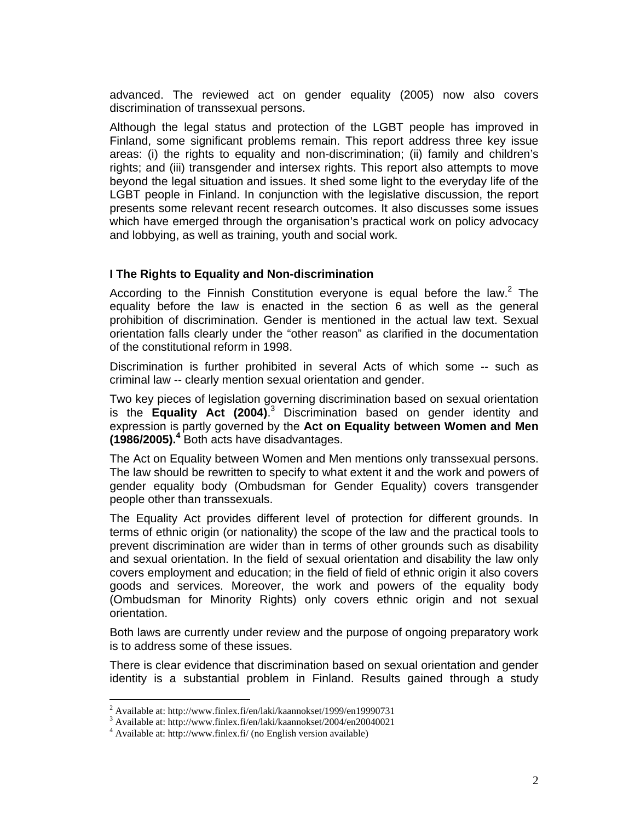advanced. The reviewed act on gender equality (2005) now also covers discrimination of transsexual persons.

Although the legal status and protection of the LGBT people has improved in Finland, some significant problems remain. This report address three key issue areas: (i) the rights to equality and non-discrimination; (ii) family and children's rights; and (iii) transgender and intersex rights. This report also attempts to move beyond the legal situation and issues. It shed some light to the everyday life of the LGBT people in Finland. In conjunction with the legislative discussion, the report presents some relevant recent research outcomes. It also discusses some issues which have emerged through the organisation's practical work on policy advocacy and lobbying, as well as training, youth and social work.

# **I The Rights to Equality and Non-discrimination**

According to the Finnish Constitution everyone is equal before the law. $2$  The equality before the law is enacted in the section 6 as well as the general prohibition of discrimination. Gender is mentioned in the actual law text. Sexual orientation falls clearly under the "other reason" as clarified in the documentation of the constitutional reform in 1998.

Discrimination is further prohibited in several Acts of which some -- such as criminal law -- clearly mention sexual orientation and gender.

Two key pieces of legislation governing discrimination based on sexual orientation is the **Equality Act (2004)**.<sup>3</sup> Discrimination based on gender identity and expression is partly governed by the **Act on Equality between Women and Men (1986/2005).4** Both acts have disadvantages.

The Act on Equality between Women and Men mentions only transsexual persons. The law should be rewritten to specify to what extent it and the work and powers of gender equality body (Ombudsman for Gender Equality) covers transgender people other than transsexuals.

The Equality Act provides different level of protection for different grounds. In terms of ethnic origin (or nationality) the scope of the law and the practical tools to prevent discrimination are wider than in terms of other grounds such as disability and sexual orientation. In the field of sexual orientation and disability the law only covers employment and education; in the field of field of ethnic origin it also covers goods and services. Moreover, the work and powers of the equality body (Ombudsman for Minority Rights) only covers ethnic origin and not sexual orientation.

Both laws are currently under review and the purpose of ongoing preparatory work is to address some of these issues.

There is clear evidence that discrimination based on sexual orientation and gender identity is a substantial problem in Finland. Results gained through a study

l

<sup>&</sup>lt;sup>2</sup> Available at: http://www.finlex.fi/en/laki/kaannokset/1999/en19990731

<sup>&</sup>lt;sup>3</sup> Available at: http://www.finlex.fi/en/laki/kaannokset/2004/en20040021

<sup>&</sup>lt;sup>4</sup> Available at: http://www.finlex.fi/ (no English version available)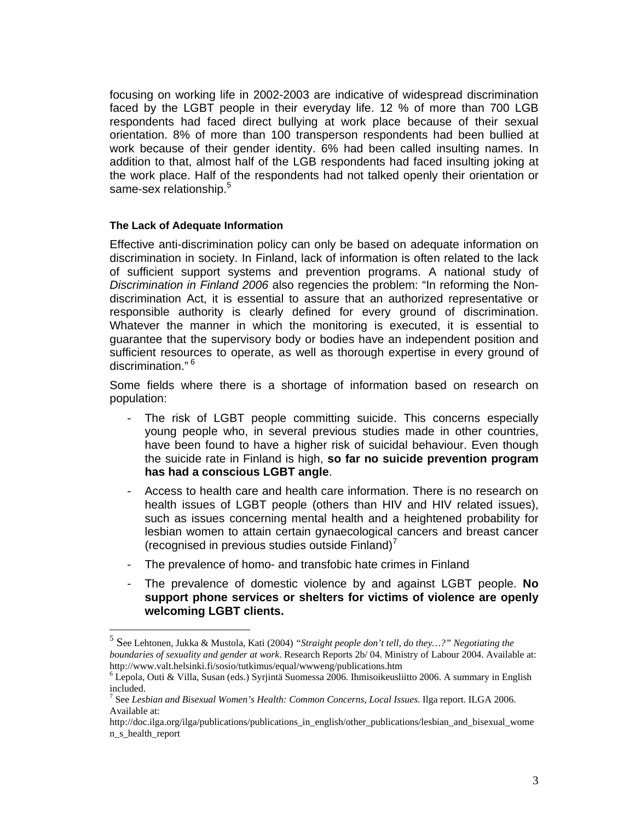focusing on working life in 2002-2003 are indicative of widespread discrimination faced by the LGBT people in their everyday life. 12 % of more than 700 LGB respondents had faced direct bullying at work place because of their sexual orientation. 8% of more than 100 transperson respondents had been bullied at work because of their gender identity. 6% had been called insulting names. In addition to that, almost half of the LGB respondents had faced insulting joking at the work place. Half of the respondents had not talked openly their orientation or same-sex relationship.<sup>5</sup>

## **The Lack of Adequate Information**

Effective anti-discrimination policy can only be based on adequate information on discrimination in society. In Finland, lack of information is often related to the lack of sufficient support systems and prevention programs. A national study of *Discrimination in Finland 2006* also regencies the problem: "In reforming the Nondiscrimination Act, it is essential to assure that an authorized representative or responsible authority is clearly defined for every ground of discrimination. Whatever the manner in which the monitoring is executed, it is essential to guarantee that the supervisory body or bodies have an independent position and sufficient resources to operate, as well as thorough expertise in every ground of discrimination."<sup>6</sup>

Some fields where there is a shortage of information based on research on population:

- The risk of LGBT people committing suicide. This concerns especially young people who, in several previous studies made in other countries, have been found to have a higher risk of suicidal behaviour. Even though the suicide rate in Finland is high, **so far no suicide prevention program has had a conscious LGBT angle**.
- Access to health care and health care information. There is no research on health issues of LGBT people (others than HIV and HIV related issues), such as issues concerning mental health and a heightened probability for lesbian women to attain certain gynaecological cancers and breast cancer (recognised in previous studies outside  $\textsf{Finland}$ ) $\prime$
- The prevalence of homo- and transfobic hate crimes in Finland
- The prevalence of domestic violence by and against LGBT people. **No support phone services or shelters for victims of violence are openly welcoming LGBT clients.**

 5 See Lehtonen, Jukka & Mustola, Kati (2004) *"Straight people don't tell, do they…?" Negotiating the boundaries of sexuality and gender at work*. Research Reports 2b/ 04. Ministry of Labour 2004. Available at: http://www.valt.helsinki.fi/sosio/tutkimus/equal/wwweng/publications.htm

<sup>6</sup> Lepola, Outi & Villa, Susan (eds.) Syrjintä Suomessa 2006. Ihmisoikeusliitto 2006. A summary in English included.

<sup>7</sup> See *Lesbian and Bisexual Women's Health: Common Concerns, Local Issues*. Ilga report. ILGA 2006. Available at:

http://doc.ilga.org/ilga/publications/publications\_in\_english/other\_publications/lesbian\_and\_bisexual\_wome n\_s\_health\_report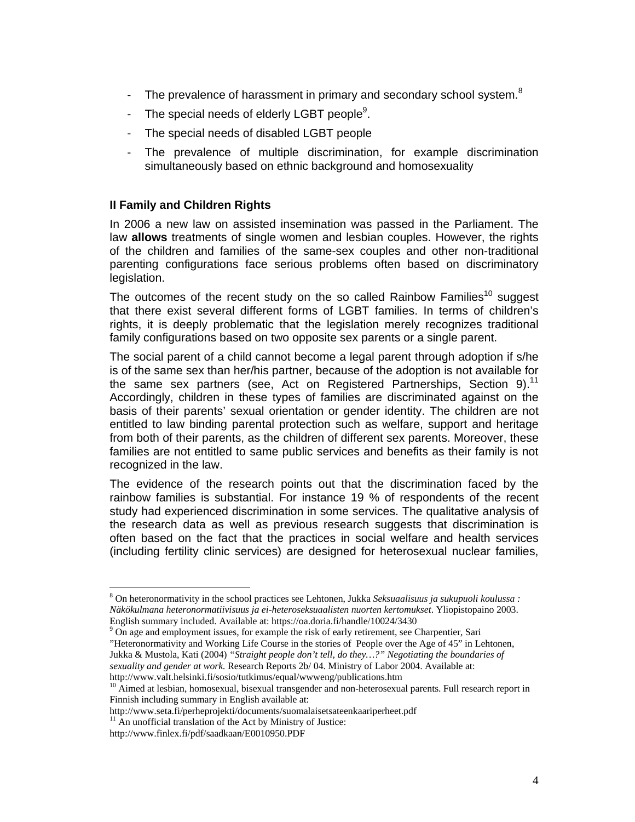- The prevalence of harassment in primary and secondary school system. $8$
- The special needs of elderly LGBT people $9$ .
- The special needs of disabled LGBT people
- The prevalence of multiple discrimination, for example discrimination simultaneously based on ethnic background and homosexuality

# **II Family and Children Rights**

In 2006 a new law on assisted insemination was passed in the Parliament. The law **allows** treatments of single women and lesbian couples. However, the rights of the children and families of the same-sex couples and other non-traditional parenting configurations face serious problems often based on discriminatory legislation.

The outcomes of the recent study on the so called Rainbow Families<sup>10</sup> suggest that there exist several different forms of LGBT families. In terms of children's rights, it is deeply problematic that the legislation merely recognizes traditional family configurations based on two opposite sex parents or a single parent.

The social parent of a child cannot become a legal parent through adoption if s/he is of the same sex than her/his partner, because of the adoption is not available for the same sex partners (see, Act on Registered Partnerships, Section 9).<sup>11</sup> Accordingly, children in these types of families are discriminated against on the basis of their parents' sexual orientation or gender identity. The children are not entitled to law binding parental protection such as welfare, support and heritage from both of their parents, as the children of different sex parents. Moreover, these families are not entitled to same public services and benefits as their family is not recognized in the law.

The evidence of the research points out that the discrimination faced by the rainbow families is substantial. For instance 19 % of respondents of the recent study had experienced discrimination in some services. The qualitative analysis of the research data as well as previous research suggests that discrimination is often based on the fact that the practices in social welfare and health services (including fertility clinic services) are designed for heterosexual nuclear families,

<sup>9</sup> On age and employment issues, for example the risk of early retirement, see Charpentier, Sari

"Heteronormativity and Working Life Course in the stories of People over the Age of 45" in Lehtonen, Jukka & Mustola, Kati (2004) *"Straight people don't tell, do they…?" Negotiating the boundaries of sexuality and gender at work.* Research Reports 2b/ 04. Ministry of Labor 2004. Available at: http://www.valt.helsinki.fi/sosio/tutkimus/equal/wwweng/publications.htm

<sup>10</sup> Aimed at lesbian, homosexual, bisexual transgender and non-heterosexual parents. Full research report in Finnish including summary in English available at:

http://www.seta.fi/perheprojekti/documents/suomalaisetsateenkaariperheet.pdf

 $\overline{a}$ 

<sup>8</sup> On heteronormativity in the school practices see Lehtonen, Jukka *Seksuaalisuus ja sukupuoli koulussa : Näkökulmana heteronormatiivisuus ja ei-heteroseksuaalisten nuorten kertomukset*. Yliopistopaino 2003. English summary included. Available at: https://oa.doria.fi/handle/10024/3430

 $11$  An unofficial translation of the Act by Ministry of Justice:

http://www.finlex.fi/pdf/saadkaan/E0010950.PDF